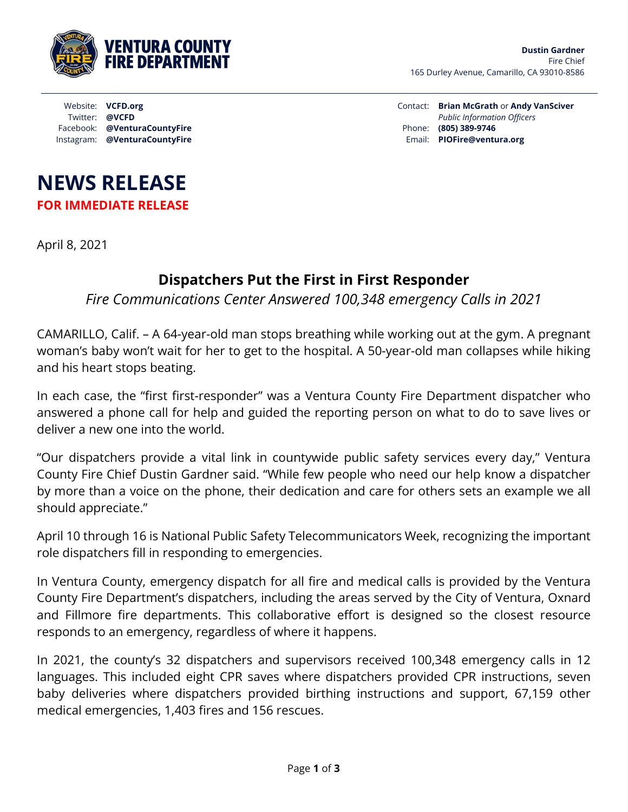

Contact: **Brian McGrath** or **Andy VanSciver** *Public Information Officers* Phone: **(805) 389-9746** Email: **PIOFire@ventura.org**

## **NEWS RELEASE FOR IMMEDIATE RELEASE**

Facebook: **@VenturaCountyFire**  Instagram: **@VenturaCountyFire** 

Website: **VCFD.org** Twitter: **@VCFD**

April 8, 2021

## **Dispatchers Put the First in First Responder**

*Fire Communications Center Answered 100,348 emergency Calls in 2021*

CAMARILLO, Calif. – A 64-year-old man stops breathing while working out at the gym. A pregnant woman's baby won't wait for her to get to the hospital. A 50-year-old man collapses while hiking and his heart stops beating.

In each case, the "first first-responder" was a Ventura County Fire Department dispatcher who answered a phone call for help and guided the reporting person on what to do to save lives or deliver a new one into the world.

"Our dispatchers provide a vital link in countywide public safety services every day," Ventura County Fire Chief Dustin Gardner said. "While few people who need our help know a dispatcher by more than a voice on the phone, their dedication and care for others sets an example we all should appreciate."

April 10 through 16 is National Public Safety Telecommunicators Week, recognizing the important role dispatchers fill in responding to emergencies.

In Ventura County, emergency dispatch for all fire and medical calls is provided by the Ventura County Fire Department's dispatchers, including the areas served by the City of Ventura, Oxnard and Fillmore fire departments. This collaborative effort is designed so the closest resource responds to an emergency, regardless of where it happens.

In 2021, the county's 32 dispatchers and supervisors received 100,348 emergency calls in 12 languages. This included eight CPR saves where dispatchers provided CPR instructions, seven baby deliveries where dispatchers provided birthing instructions and support, 67,159 other medical emergencies, 1,403 fires and 156 rescues.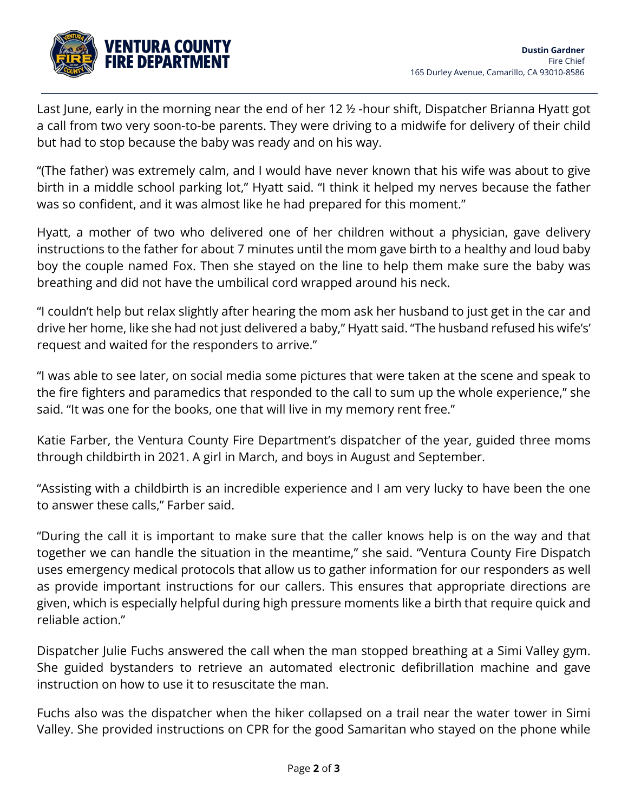

Last June, early in the morning near the end of her 12 ½ -hour shift, Dispatcher Brianna Hyatt got a call from two very soon-to-be parents. They were driving to a midwife for delivery of their child but had to stop because the baby was ready and on his way.

"(The father) was extremely calm, and I would have never known that his wife was about to give birth in a middle school parking lot," Hyatt said. "I think it helped my nerves because the father was so confident, and it was almost like he had prepared for this moment."

Hyatt, a mother of two who delivered one of her children without a physician, gave delivery instructions to the father for about 7 minutes until the mom gave birth to a healthy and loud baby boy the couple named Fox. Then she stayed on the line to help them make sure the baby was breathing and did not have the umbilical cord wrapped around his neck.

"I couldn't help but relax slightly after hearing the mom ask her husband to just get in the car and drive her home, like she had not just delivered a baby," Hyatt said. "The husband refused his wife's' request and waited for the responders to arrive."

"I was able to see later, on social media some pictures that were taken at the scene and speak to the fire fighters and paramedics that responded to the call to sum up the whole experience," she said. "It was one for the books, one that will live in my memory rent free."

Katie Farber, the Ventura County Fire Department's dispatcher of the year, guided three moms through childbirth in 2021. A girl in March, and boys in August and September.

"Assisting with a childbirth is an incredible experience and I am very lucky to have been the one to answer these calls," Farber said.

"During the call it is important to make sure that the caller knows help is on the way and that together we can handle the situation in the meantime," she said. "Ventura County Fire Dispatch uses emergency medical protocols that allow us to gather information for our responders as well as provide important instructions for our callers. This ensures that appropriate directions are given, which is especially helpful during high pressure moments like a birth that require quick and reliable action."

Dispatcher Julie Fuchs answered the call when the man stopped breathing at a Simi Valley gym. She guided bystanders to retrieve an automated electronic defibrillation machine and gave instruction on how to use it to resuscitate the man.

Fuchs also was the dispatcher when the hiker collapsed on a trail near the water tower in Simi Valley. She provided instructions on CPR for the good Samaritan who stayed on the phone while